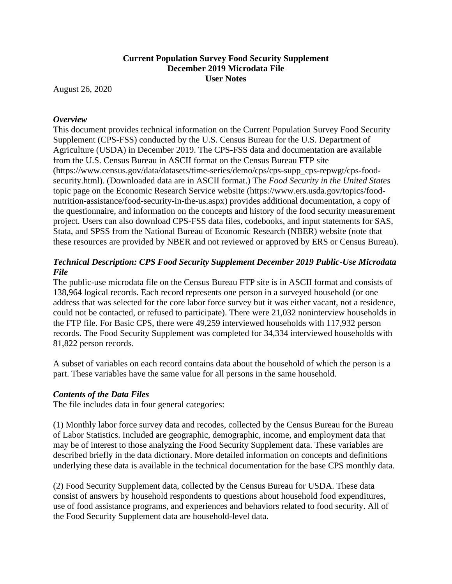# **Current Population Survey Food Security Supplement December 2019 Microdata File User Notes**

August 26, 2020

# *Overview*

This document provides technical information on the Current Population Survey Food Security Supplement (CPS-FSS) conducted by the U.S. Census Bureau for the U.S. Department of Agriculture (USDA) in December 2019. The CPS-FSS data and documentation are available from the U.S. Census Bureau in ASCII format on the Census Bureau FTP site (https://www.census.gov/data/datasets/time-series/demo/cps/cps-supp\_cps-repwgt/cps-foodsecurity.html). (Downloaded data are in ASCII format.) The *Food Security in the United States* topic page on the Economic Research Service website (https://www.ers.usda.gov/topics/foodnutrition-assistance/food-security-in-the-us.aspx) provides additional documentation, a copy of the questionnaire, and information on the concepts and history of the food security measurement project. Users can also download CPS-FSS data files, codebooks, and input statements for SAS, Stata, and SPSS from the National Bureau of Economic Research (NBER) website (note that these resources are provided by NBER and not reviewed or approved by ERS or Census Bureau).

# *Technical Description: CPS Food Security Supplement December 2019 Public-Use Microdata File*

The public-use microdata file on the Census Bureau FTP site is in ASCII format and consists of 138,964 logical records. Each record represents one person in a surveyed household (or one address that was selected for the core labor force survey but it was either vacant, not a residence, could not be contacted, or refused to participate). There were 21,032 noninterview households in the FTP file. For Basic CPS, there were 49,259 interviewed households with 117,932 person records. The Food Security Supplement was completed for 34,334 interviewed households with 81,822 person records.

A subset of variables on each record contains data about the household of which the person is a part. These variables have the same value for all persons in the same household.

# *Contents of the Data Files*

The file includes data in four general categories:

(1) Monthly labor force survey data and recodes, collected by the Census Bureau for the Bureau of Labor Statistics. Included are geographic, demographic, income, and employment data that may be of interest to those analyzing the Food Security Supplement data. These variables are described briefly in the data dictionary. More detailed information on concepts and definitions underlying these data is available in the technical documentation for the base CPS monthly data.

(2) Food Security Supplement data, collected by the Census Bureau for USDA. These data consist of answers by household respondents to questions about household food expenditures, use of food assistance programs, and experiences and behaviors related to food security. All of the Food Security Supplement data are household-level data.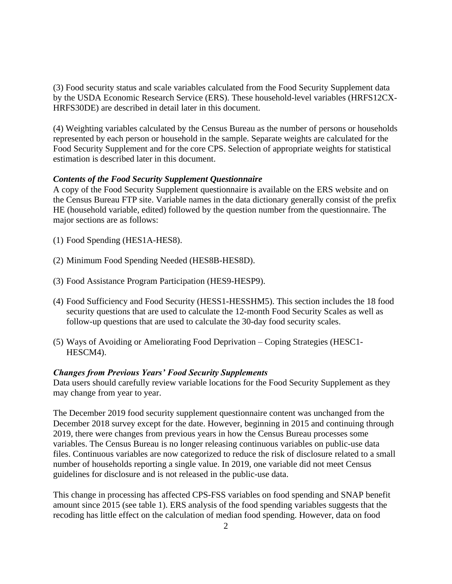(3) Food security status and scale variables calculated from the Food Security Supplement data by the USDA Economic Research Service (ERS). These household-level variables (HRFS12CX-HRFS30DE) are described in detail later in this document.

(4) Weighting variables calculated by the Census Bureau as the number of persons or households represented by each person or household in the sample. Separate weights are calculated for the Food Security Supplement and for the core CPS. Selection of appropriate weights for statistical estimation is described later in this document.

### *Contents of the Food Security Supplement Questionnaire*

A copy of the Food Security Supplement questionnaire is available on the ERS website and on the Census Bureau FTP site. Variable names in the data dictionary generally consist of the prefix HE (household variable, edited) followed by the question number from the questionnaire. The major sections are as follows:

- (1) Food Spending (HES1A-HES8).
- (2) Minimum Food Spending Needed (HES8B-HES8D).
- (3) Food Assistance Program Participation (HES9-HESP9).
- (4) Food Sufficiency and Food Security (HESS1-HESSHM5). This section includes the 18 food security questions that are used to calculate the 12-month Food Security Scales as well as follow-up questions that are used to calculate the 30-day food security scales.
- (5) Ways of Avoiding or Ameliorating Food Deprivation Coping Strategies (HESC1- HESCM4).

### *Changes from Previous Years' Food Security Supplements*

Data users should carefully review variable locations for the Food Security Supplement as they may change from year to year.

The December 2019 food security supplement questionnaire content was unchanged from the December 2018 survey except for the date. However, beginning in 2015 and continuing through 2019, there were changes from previous years in how the Census Bureau processes some variables. The Census Bureau is no longer releasing continuous variables on public-use data files. Continuous variables are now categorized to reduce the risk of disclosure related to a small number of households reporting a single value. In 2019, one variable did not meet Census guidelines for disclosure and is not released in the public-use data.

This change in processing has affected CPS-FSS variables on food spending and SNAP benefit amount since 2015 (see table 1). ERS analysis of the food spending variables suggests that the recoding has little effect on the calculation of median food spending. However, data on food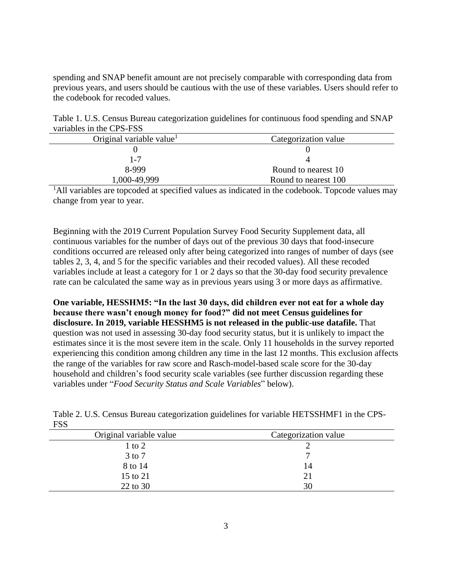spending and SNAP benefit amount are not precisely comparable with corresponding data from previous years, and users should be cautious with the use of these variables. Users should refer to the codebook for recoded values.

Table 1. U.S. Census Bureau categorization guidelines for continuous food spending and SNAP variables in the CPS-FSS

| Original variable value | Categorization value |
|-------------------------|----------------------|
|                         |                      |
| 1-7                     |                      |
| 8-999                   | Round to nearest 10  |
| 1,000-49,999            | Round to nearest 100 |

<sup>1</sup>All variables are topcoded at specified values as indicated in the codebook. Topcode values may change from year to year.

Beginning with the 2019 Current Population Survey Food Security Supplement data, all continuous variables for the number of days out of the previous 30 days that food-insecure conditions occurred are released only after being categorized into ranges of number of days (see tables 2, 3, 4, and 5 for the specific variables and their recoded values). All these recoded variables include at least a category for 1 or 2 days so that the 30-day food security prevalence rate can be calculated the same way as in previous years using 3 or more days as affirmative.

**One variable, HESSHM5: "In the last 30 days, did children ever not eat for a whole day because there wasn't enough money for food?" did not meet Census guidelines for disclosure. In 2019, variable HESSHM5 is not released in the public-use datafile.** That question was not used in assessing 30-day food security status, but it is unlikely to impact the estimates since it is the most severe item in the scale. Only 11 households in the survey reported experiencing this condition among children any time in the last 12 months. This exclusion affects the range of the variables for raw score and Rasch-model-based scale score for the 30-day household and children's food security scale variables (see further discussion regarding these variables under "*Food Security Status and Scale Variables*" below).

| ---                     |                      |
|-------------------------|----------------------|
| Original variable value | Categorization value |
| 1 to 2                  |                      |
| 3 to 7                  |                      |
| 8 to 14                 | 14                   |
| 15 to 21                | 21                   |
| 22 to 30                | 30                   |

Table 2. U.S. Census Bureau categorization guidelines for variable HETSSHMF1 in the CPS-FSS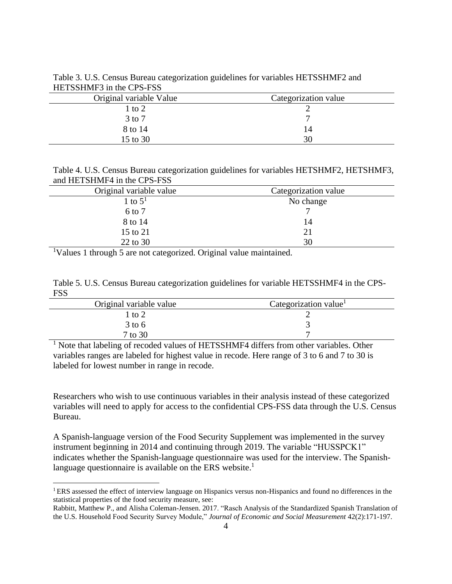| Original variable Value | Categorization value |
|-------------------------|----------------------|
| l to 2                  |                      |
| $3$ to $7$              |                      |
| 8 to 14                 | 14                   |
| 15 to 30                | 30                   |

Table 3. U.S. Census Bureau categorization guidelines for variables HETSSHMF2 and HETSSHMF3 in the CPS-FSS

Table 4. U.S. Census Bureau categorization guidelines for variables HETSHMF2, HETSHMF3, and HETSHMF4 in the CPS-FSS

| Original variable value | Categorization value |
|-------------------------|----------------------|
| 1 to $51$               | No change            |
| 6 to 7                  |                      |
| 8 to 14                 | 14                   |
| 15 to 21                | 21                   |
| 22 to 30                | 30                   |

<sup>1</sup>Values 1 through 5 are not categorized. Original value maintained.

|            |  |  | Table 5. U.S. Census Bureau categorization guidelines for variable HETSSHMF4 in the CPS- |  |
|------------|--|--|------------------------------------------------------------------------------------------|--|
| <b>FSS</b> |  |  |                                                                                          |  |

| Original variable value | Categorization value <sup>1</sup> |
|-------------------------|-----------------------------------|
| to $2$                  |                                   |
| $3$ to 6                |                                   |
| 7 to 30                 |                                   |

<sup>1</sup> Note that labeling of recoded values of HETSSHMF4 differs from other variables. Other variables ranges are labeled for highest value in recode. Here range of 3 to 6 and 7 to 30 is labeled for lowest number in range in recode.

Researchers who wish to use continuous variables in their analysis instead of these categorized variables will need to apply for access to the confidential CPS-FSS data through the U.S. Census Bureau.

A Spanish-language version of the Food Security Supplement was implemented in the survey instrument beginning in 2014 and continuing through 2019. The variable "HUSSPCK1" indicates whether the Spanish-language questionnaire was used for the interview. The Spanishlanguage questionnaire is available on the ERS website.<sup>1</sup>

<sup>1</sup> ERS assessed the effect of interview language on Hispanics versus non-Hispanics and found no differences in the statistical properties of the food security measure, see:

Rabbitt, Matthew P., and Alisha Coleman-Jensen. 2017. "Rasch Analysis of the Standardized Spanish Translation of the U.S. Household Food Security Survey Module," *Journal of Economic and Social Measurement* 42(2):171-197.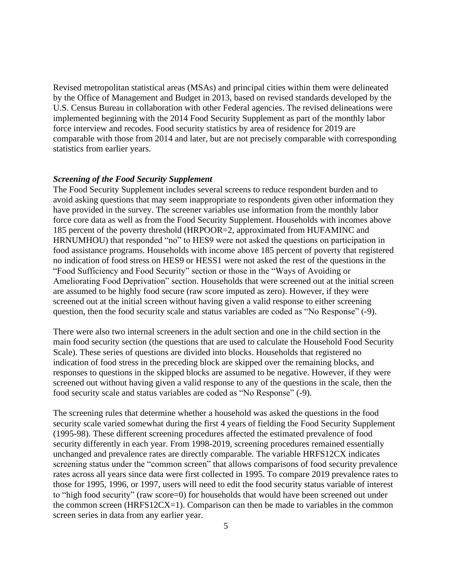Revised metropolitan statistical areas (MSAs) and principal cities within them were delineated by the Office of Management and Budget in 2013, based on revised standards developed by the U.S. Census Bureau in collaboration with other Federal agencies. The revised delineations were implemented beginning with the 2014 Food Security Supplement as part of the monthly labor force interview and recodes. Food security statistics by area of residence for 2019 are comparable with those from 2014 and later, but are not precisely comparable with corresponding statistics from earlier years.

#### *Screening of the Food Security Supplement*

The Food Security Supplement includes several screens to reduce respondent burden and to avoid asking questions that may seem inappropriate to respondents given other information they have provided in the survey. The screener variables use information from the monthly labor force core data as well as from the Food Security Supplement. Households with incomes above 185 percent of the poverty threshold (HRPOOR=2, approximated from HUFAMINC and HRNUMHOU) that responded "no" to HES9 were not asked the questions on participation in food assistance programs. Households with income above 185 percent of poverty that registered no indication of food stress on HES9 or HESS1 were not asked the rest of the questions in the "Food Sufficiency and Food Security" section or those in the "Ways of Avoiding or Ameliorating Food Deprivation" section. Households that were screened out at the initial screen are assumed to be highly food secure (raw score imputed as zero). However, if they were screened out at the initial screen without having given a valid response to either screening question, then the food security scale and status variables are coded as "No Response" (-9).

There were also two internal screeners in the adult section and one in the child section in the main food security section (the questions that are used to calculate the Household Food Security Scale). These series of questions are divided into blocks. Households that registered no indication of food stress in the preceding block are skipped over the remaining blocks, and responses to questions in the skipped blocks are assumed to be negative. However, if they were screened out without having given a valid response to any of the questions in the scale, then the food security scale and status variables are coded as "No Response" (-9).

The screening rules that determine whether a household was asked the questions in the food security scale varied somewhat during the first 4 years of fielding the Food Security Supplement (1995-98). These different screening procedures affected the estimated prevalence of food security differently in each year. From 1998-2019, screening procedures remained essentially unchanged and prevalence rates are directly comparable. The variable HRFS12CX indicates screening status under the "common screen" that allows comparisons of food security prevalence rates across all years since data were first collected in 1995. To compare 2019 prevalence rates to those for 1995, 1996, or 1997, users will need to edit the food security status variable of interest to "high food security" (raw score=0) for households that would have been screened out under the common screen (HRFS12CX=1). Comparison can then be made to variables in the common screen series in data from any earlier year.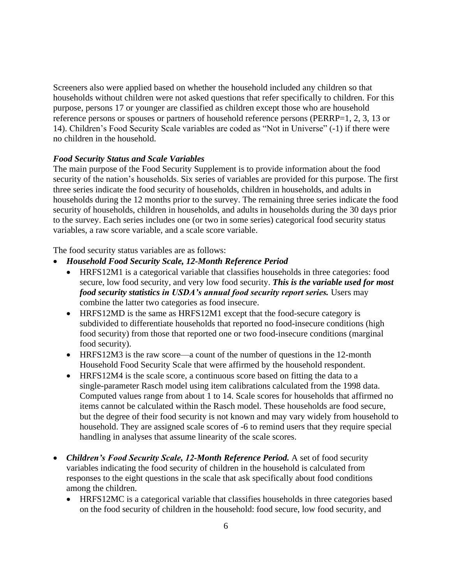Screeners also were applied based on whether the household included any children so that households without children were not asked questions that refer specifically to children. For this purpose, persons 17 or younger are classified as children except those who are household reference persons or spouses or partners of household reference persons (PERRP=1, 2, 3, 13 or 14). Children's Food Security Scale variables are coded as "Not in Universe" (-1) if there were no children in the household.

## *Food Security Status and Scale Variables*

The main purpose of the Food Security Supplement is to provide information about the food security of the nation's households. Six series of variables are provided for this purpose. The first three series indicate the food security of households, children in households, and adults in households during the 12 months prior to the survey. The remaining three series indicate the food security of households, children in households, and adults in households during the 30 days prior to the survey. Each series includes one (or two in some series) categorical food security status variables, a raw score variable, and a scale score variable.

The food security status variables are as follows:

- *Household Food Security Scale, 12-Month Reference Period*
	- HRFS12M1 is a categorical variable that classifies households in three categories: food secure, low food security, and very low food security. *This is the variable used for most food security statistics in USDA's annual food security report series.* Users may combine the latter two categories as food insecure.
	- HRFS12MD is the same as HRFS12M1 except that the food-secure category is subdivided to differentiate households that reported no food-insecure conditions (high food security) from those that reported one or two food-insecure conditions (marginal food security).
	- HRFS12M3 is the raw score—a count of the number of questions in the 12-month Household Food Security Scale that were affirmed by the household respondent.
	- HRFS12M4 is the scale score, a continuous score based on fitting the data to a single-parameter Rasch model using item calibrations calculated from the 1998 data. Computed values range from about 1 to 14. Scale scores for households that affirmed no items cannot be calculated within the Rasch model. These households are food secure, but the degree of their food security is not known and may vary widely from household to household. They are assigned scale scores of -6 to remind users that they require special handling in analyses that assume linearity of the scale scores.
- *Children's Food Security Scale, 12-Month Reference Period.* A set of food security variables indicating the food security of children in the household is calculated from responses to the eight questions in the scale that ask specifically about food conditions among the children.
	- HRFS12MC is a categorical variable that classifies households in three categories based on the food security of children in the household: food secure, low food security, and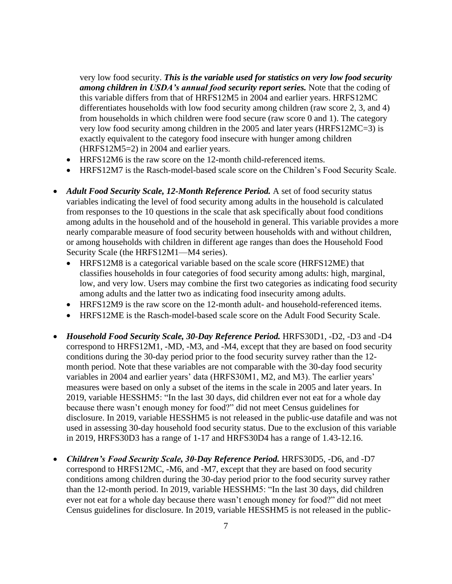very low food security. *This is the variable used for statistics on very low food security among children in USDA's annual food security report series.* Note that the coding of this variable differs from that of HRFS12M5 in 2004 and earlier years. HRFS12MC differentiates households with low food security among children (raw score 2, 3, and 4) from households in which children were food secure (raw score 0 and 1). The category very low food security among children in the 2005 and later years (HRFS12MC=3) is exactly equivalent to the category food insecure with hunger among children (HRFS12M5=2) in 2004 and earlier years.

- HRFS12M6 is the raw score on the 12-month child-referenced items.
- HRFS12M7 is the Rasch-model-based scale score on the Children's Food Security Scale.
- *Adult Food Security Scale, 12-Month Reference Period.* A set of food security status variables indicating the level of food security among adults in the household is calculated from responses to the 10 questions in the scale that ask specifically about food conditions among adults in the household and of the household in general. This variable provides a more nearly comparable measure of food security between households with and without children, or among households with children in different age ranges than does the Household Food Security Scale (the HRFS12M1—M4 series).
	- HRFS12M8 is a categorical variable based on the scale score (HRFS12ME) that classifies households in four categories of food security among adults: high, marginal, low, and very low. Users may combine the first two categories as indicating food security among adults and the latter two as indicating food insecurity among adults.
	- HRFS12M9 is the raw score on the 12-month adult- and household-referenced items.
	- HRFS12ME is the Rasch-model-based scale score on the Adult Food Security Scale.
- *Household Food Security Scale, 30-Day Reference Period.* HRFS30D1, -D2, -D3 and -D4 correspond to HRFS12M1, -MD, -M3, and -M4, except that they are based on food security conditions during the 30-day period prior to the food security survey rather than the 12 month period. Note that these variables are not comparable with the 30-day food security variables in 2004 and earlier years' data (HRFS30M1, M2, and M3). The earlier years' measures were based on only a subset of the items in the scale in 2005 and later years. In 2019, variable HESSHM5: "In the last 30 days, did children ever not eat for a whole day because there wasn't enough money for food?" did not meet Census guidelines for disclosure. In 2019, variable HESSHM5 is not released in the public-use datafile and was not used in assessing 30-day household food security status. Due to the exclusion of this variable in 2019, HRFS30D3 has a range of 1-17 and HRFS30D4 has a range of 1.43-12.16.
- *Children's Food Security Scale, 30-Day Reference Period.* HRFS30D5, -D6, and -D7 correspond to HRFS12MC, -M6, and -M7, except that they are based on food security conditions among children during the 30-day period prior to the food security survey rather than the 12-month period. In 2019, variable HESSHM5: "In the last 30 days, did children ever not eat for a whole day because there wasn't enough money for food?" did not meet Census guidelines for disclosure. In 2019, variable HESSHM5 is not released in the public-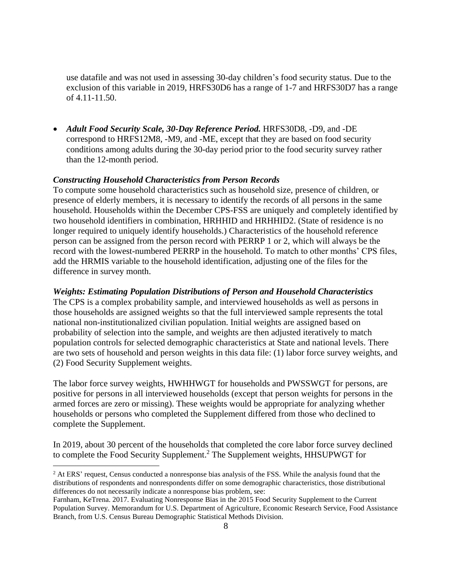use datafile and was not used in assessing 30-day children's food security status. Due to the exclusion of this variable in 2019, HRFS30D6 has a range of 1-7 and HRFS30D7 has a range of 4.11-11.50.

• *Adult Food Security Scale, 30-Day Reference Period.* HRFS30D8, -D9, and -DE correspond to HRFS12M8, -M9, and -ME, except that they are based on food security conditions among adults during the 30-day period prior to the food security survey rather than the 12-month period.

### *Constructing Household Characteristics from Person Records*

To compute some household characteristics such as household size, presence of children, or presence of elderly members, it is necessary to identify the records of all persons in the same household. Households within the December CPS-FSS are uniquely and completely identified by two household identifiers in combination, HRHHID and HRHHID2. (State of residence is no longer required to uniquely identify households.) Characteristics of the household reference person can be assigned from the person record with PERRP 1 or 2, which will always be the record with the lowest-numbered PERRP in the household. To match to other months' CPS files, add the HRMIS variable to the household identification, adjusting one of the files for the difference in survey month.

## *Weights: Estimating Population Distributions of Person and Household Characteristics*

The CPS is a complex probability sample, and interviewed households as well as persons in those households are assigned weights so that the full interviewed sample represents the total national non-institutionalized civilian population. Initial weights are assigned based on probability of selection into the sample, and weights are then adjusted iteratively to match population controls for selected demographic characteristics at State and national levels. There are two sets of household and person weights in this data file: (1) labor force survey weights, and (2) Food Security Supplement weights.

The labor force survey weights, HWHHWGT for households and PWSSWGT for persons, are positive for persons in all interviewed households (except that person weights for persons in the armed forces are zero or missing). These weights would be appropriate for analyzing whether households or persons who completed the Supplement differed from those who declined to complete the Supplement.

In 2019, about 30 percent of the households that completed the core labor force survey declined to complete the Food Security Supplement.<sup>2</sup> The Supplement weights, HHSUPWGT for

<sup>&</sup>lt;sup>2</sup> At ERS' request, Census conducted a nonresponse bias analysis of the FSS. While the analysis found that the distributions of respondents and nonrespondents differ on some demographic characteristics, those distributional differences do not necessarily indicate a nonresponse bias problem, see:

Farnham, KeTrena. 2017. Evaluating Nonresponse Bias in the 2015 Food Security Supplement to the Current Population Survey. Memorandum for U.S. Department of Agriculture, Economic Research Service, Food Assistance Branch, from U.S. Census Bureau Demographic Statistical Methods Division.